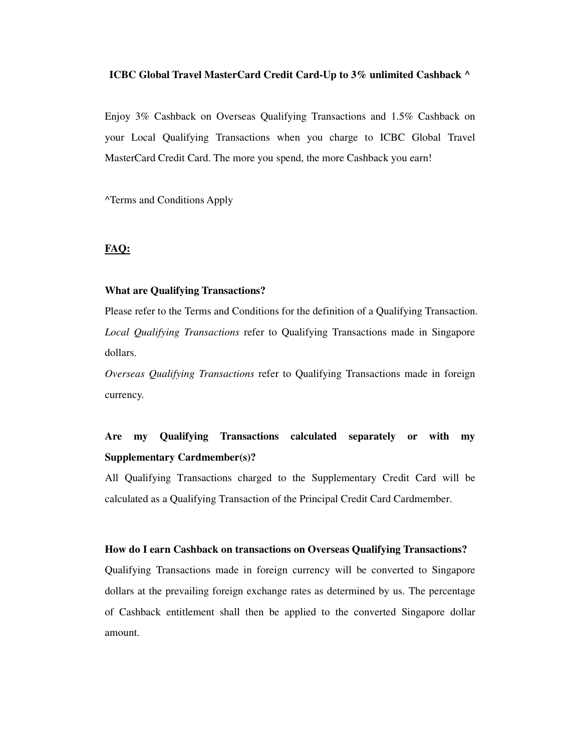#### **ICBC Global Travel MasterCard Credit Card-Up to 3% unlimited Cashback ^**

Enjoy 3% Cashback on Overseas Qualifying Transactions and 1.5% Cashback on your Local Qualifying Transactions when you charge to ICBC Global Travel MasterCard Credit Card. The more you spend, the more Cashback you earn!

^Terms and Conditions Apply

## **FAQ:**

#### **What are Qualifying Transactions?**

Please refer to the Terms and Conditions for the definition of a Qualifying Transaction. *Local Qualifying Transactions* refer to Qualifying Transactions made in Singapore dollars.

*Overseas Qualifying Transactions* refer to Qualifying Transactions made in foreign currency.

# **Are my Qualifying Transactions calculated separately or with my Supplementary Cardmember(s)?**

All Qualifying Transactions charged to the Supplementary Credit Card will be calculated as a Qualifying Transaction of the Principal Credit Card Cardmember.

#### **How do I earn Cashback on transactions on Overseas Qualifying Transactions?**

Qualifying Transactions made in foreign currency will be converted to Singapore dollars at the prevailing foreign exchange rates as determined by us. The percentage of Cashback entitlement shall then be applied to the converted Singapore dollar amount.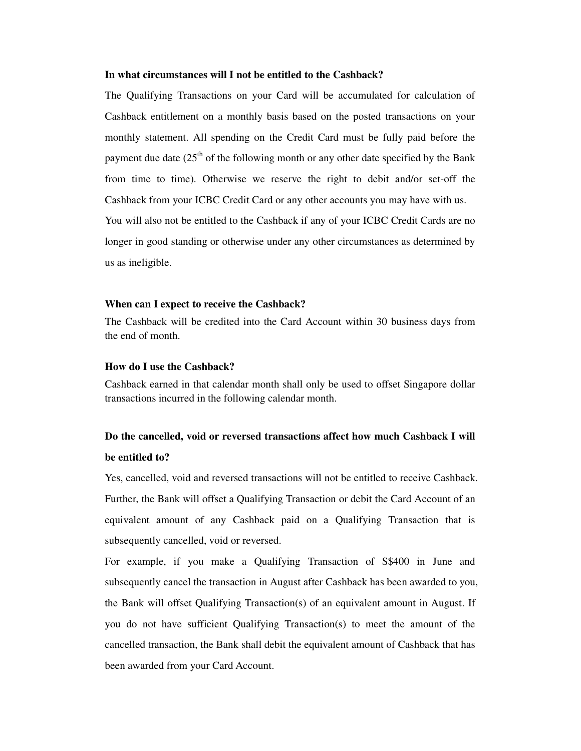#### **In what circumstances will I not be entitled to the Cashback?**

The Qualifying Transactions on your Card will be accumulated for calculation of Cashback entitlement on a monthly basis based on the posted transactions on your monthly statement. All spending on the Credit Card must be fully paid before the payment due date  $(25<sup>th</sup>$  of the following month or any other date specified by the Bank from time to time). Otherwise we reserve the right to debit and/or set-off the Cashback from your ICBC Credit Card or any other accounts you may have with us. You will also not be entitled to the Cashback if any of your ICBC Credit Cards are no longer in good standing or otherwise under any other circumstances as determined by us as ineligible.

#### **When can I expect to receive the Cashback?**

The Cashback will be credited into the Card Account within 30 business days from the end of month.

### **How do I use the Cashback?**

Cashback earned in that calendar month shall only be used to offset Singapore dollar transactions incurred in the following calendar month.

## **Do the cancelled, void or reversed transactions affect how much Cashback I will be entitled to?**

Yes, cancelled, void and reversed transactions will not be entitled to receive Cashback. Further, the Bank will offset a Qualifying Transaction or debit the Card Account of an equivalent amount of any Cashback paid on a Qualifying Transaction that is subsequently cancelled, void or reversed.

For example, if you make a Qualifying Transaction of S\$400 in June and subsequently cancel the transaction in August after Cashback has been awarded to you, the Bank will offset Qualifying Transaction(s) of an equivalent amount in August. If you do not have sufficient Qualifying Transaction(s) to meet the amount of the cancelled transaction, the Bank shall debit the equivalent amount of Cashback that has been awarded from your Card Account.